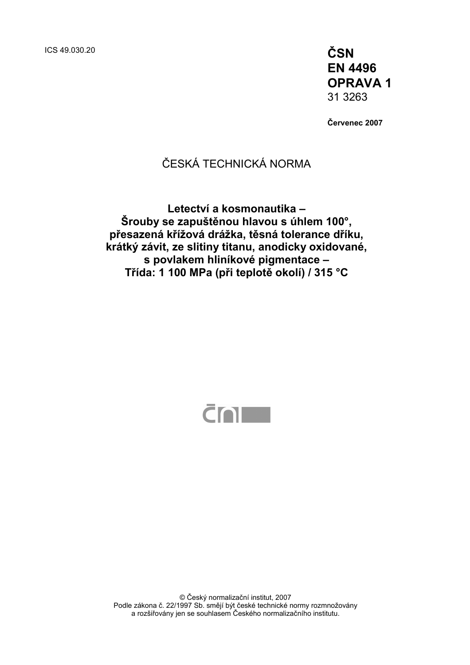ICS 49.030.20 **ČSN EN 4496 OPRAVA 1**  31 3263

**Červenec 2007** 

## ČESKÁ TECHNICKÁ NORMA

**Letectví a kosmonautika – Šrouby se zapuštěnou hlavou s úhlem 100°, přesazená křížová drážka, těsná tolerance dříku, krátký závit, ze slitiny titanu, anodicky oxidované, s povlakem hliníkové pigmentace – Třída: 1 100 MPa (při teplotě okolí) / 315 °C** 



© Český normalizační institut, 2007 Podle zákona č. 22/1997 Sb. smějí být české technické normy rozmnožovány a rozšiřovány jen se souhlasem Českého normalizačního institutu.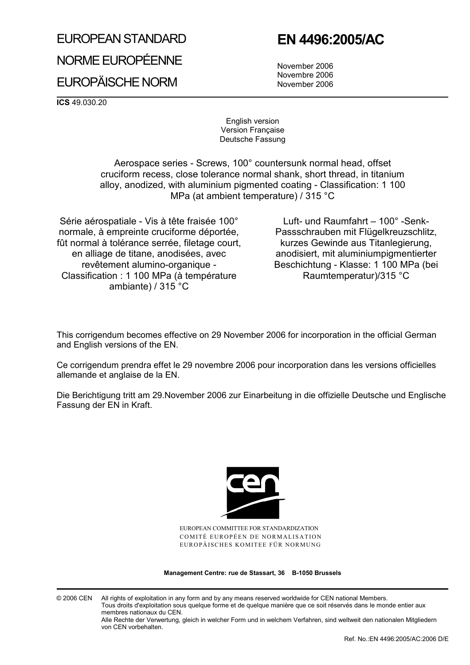# EUROPEAN STANDARD NORME EUROPÉENNE

## **EN 4496:2005/AC**

EUROPÄISCHE NORM

 November 2006 Novembre 2006 November 2006

**ICS** 49.030.20

English version Version Française Deutsche Fassung

 Aerospace series - Screws, 100° countersunk normal head, offset cruciform recess, close tolerance normal shank, short thread, in titanium alloy, anodized, with aluminium pigmented coating - Classification: 1 100 MPa (at ambient temperature) / 315 °C

Série aérospatiale - Vis à tête fraisée 100° normale, à empreinte cruciforme déportée, fût normal à tolérance serrée, filetage court, en alliage de titane, anodisées, avec revêtement alumino-organique - Classification : 1 100 MPa (à température ambiante) / 315 °C

 Luft- und Raumfahrt – 100° -Senk-Passschrauben mit Flügelkreuzschlitz, kurzes Gewinde aus Titanlegierung, anodisiert, mit aluminiumpigmentierter Beschichtung - Klasse: 1 100 MPa (bei Raumtemperatur)/315 °C

This corrigendum becomes effective on 29 November 2006 for incorporation in the official German and English versions of the EN.

Ce corrigendum prendra effet le 29 novembre 2006 pour incorporation dans les versions officielles allemande et anglaise de la EN.

Die Berichtigung tritt am 29.November 2006 zur Einarbeitung in die offizielle Deutsche und Englische Fassung der EN in Kraft.



EUROPEAN COMMITTEE FOR STANDARDIZATION COMITÉ EUROPÉEN DE NORMALISATION EUROPÄISCHES KOMITEE FÜR NORMUNG

**Management Centre: rue de Stassart, 36 B-1050 Brussels** 

© 2006 CEN All rights of exploitation in any form and by any means reserved worldwide for CEN national Members. Tous droits d'exploitation sous quelque forme et de quelque manière que ce soit réservés dans le monde entier aux membres nationaux du CEN.

Alle Rechte der Verwertung, gleich in welcher Form und in welchem Verfahren, sind weltweit den nationalen Mitgliedern von CEN vorbehalten.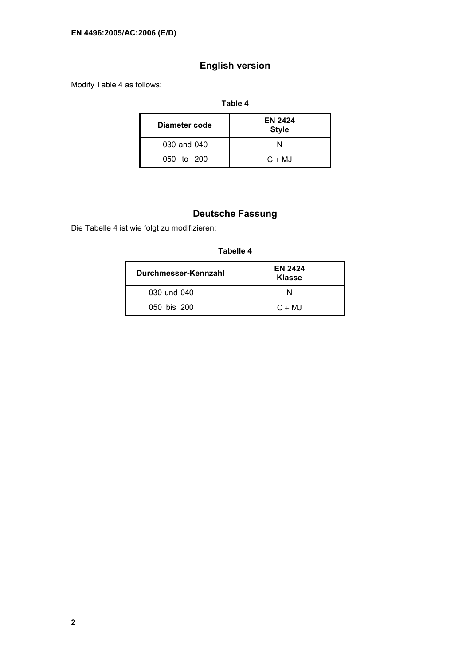## **English version**

Modify Table 4 as follows:

#### **Table 4**

| Diameter code | <b>EN 2424</b><br><b>Style</b> |
|---------------|--------------------------------|
| 030 and 040   | N                              |
| 050 to 200    | $C + MJ$                       |

## **Deutsche Fassung**

Die Tabelle 4 ist wie folgt zu modifizieren:

#### **Tabelle 4**

| Durchmesser-Kennzahl | <b>EN 2424</b><br><b>Klasse</b> |
|----------------------|---------------------------------|
| 030 und 040          |                                 |
| 050 bis 200          | $C + MJ$                        |